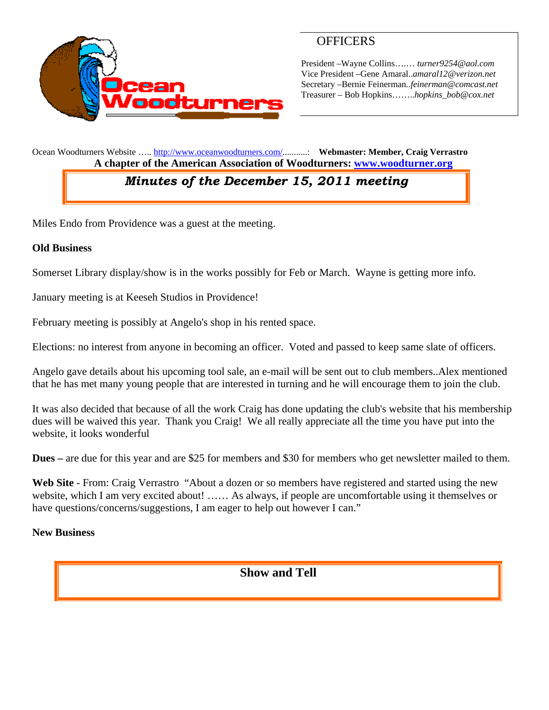

## **OFFICERS**

President –Wayne Collins….… *turner9254@aol.com*  Vice President –Gene Amaral..*amaral12@verizon.net* Secretary –Bernie Feinerman*..feinerman@comcast.net*  Treasurer – Bob Hopkins……..*hopkins\_bob@cox.net*

Ocean Woodturners Website ….. http://www.oceanwoodturners.com/...........: **Webmaster: Member, Craig Verrastro A chapter of the American Association of Woodturners: www.woodturner.org** 

# *Minutes of the December 15, 2011 meeting*

Miles Endo from Providence was a guest at the meeting.

#### **Old Business**

Somerset Library display/show is in the works possibly for Feb or March. Wayne is getting more info.

January meeting is at Keeseh Studios in Providence!

February meeting is possibly at Angelo's shop in his rented space.

Elections: no interest from anyone in becoming an officer. Voted and passed to keep same slate of officers.

Angelo gave details about his upcoming tool sale, an e-mail will be sent out to club members..Alex mentioned that he has met many young people that are interested in turning and he will encourage them to join the club.

It was also decided that because of all the work Craig has done updating the club's website that his membership dues will be waived this year. Thank you Craig! We all really appreciate all the time you have put into the website, it looks wonderful

**Dues –** are due for this year and are \$25 for members and \$30 for members who get newsletter mailed to them.

**Web Site** - From: Craig Verrastro "About a dozen or so members have registered and started using the new website, which I am very excited about! …… As always, if people are uncomfortable using it themselves or have questions/concerns/suggestions, I am eager to help out however I can."

#### **New Business**

### **Show and Tell**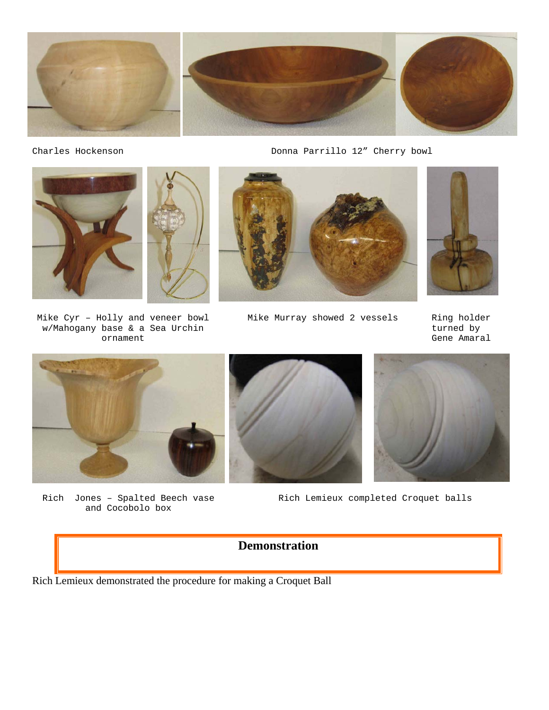

Charles Hockenson **Charles Hockenson** Donna Parrillo 12" Cherry bowl



Mike Cyr – Holly and veneer bowl w/Mahogany base & a Sea Urchin ornament



Mike Murray showed 2 vessels Ring holder

turned by Gene Amaral



Rich Jones – Spalted Beech vase and Cocobolo box





Rich Lemieux completed Croquet balls

# **Demonstration**

Rich Lemieux demonstrated the procedure for making a Croquet Ball